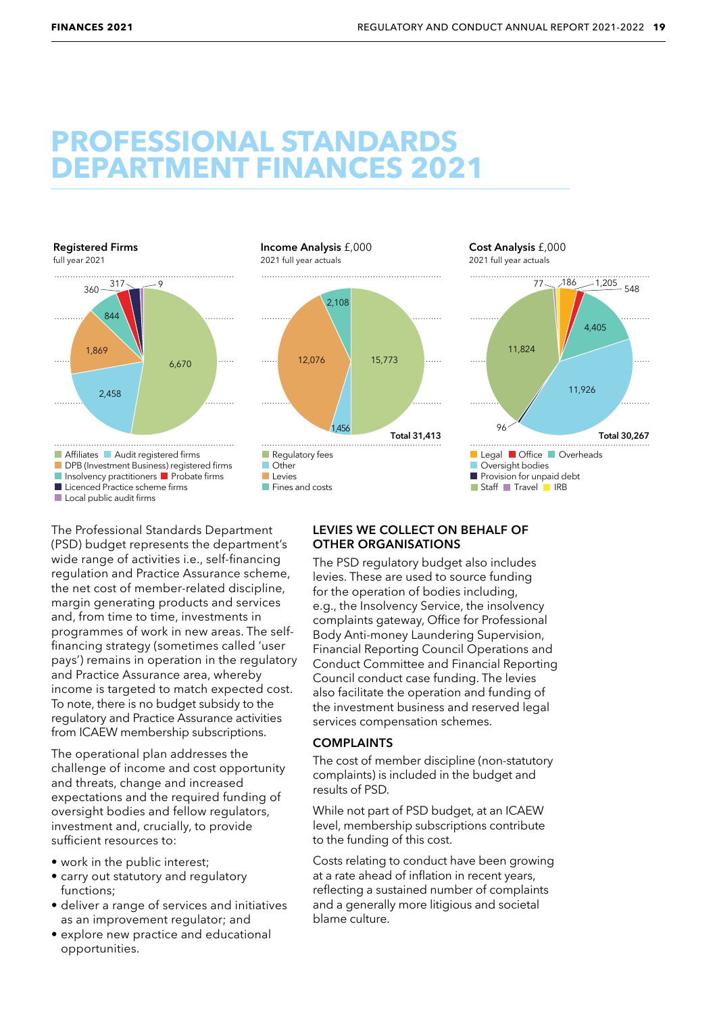# **PROFESSIONAL STANDARDS DEPARTMENT FINANCES 2021**



The Professional Standards Department (PSD) budget represents the department's wide range of activities i.e., self-financing regulation and Practice Assurance scheme, the net cost of member-related discipline, margin generating products and services and, from time to time, investments in programmes of work in new areas. The selffinancing strategy (sometimes called 'user pays') remains in operation in the regulatory and Practice Assurance area, whereby income is targeted to match expected cost. To note, there is no budget subsidy to the regulatory and Practice Assurance activities from ICAEW membership subscriptions.

The operational plan addresses the challenge of income and cost opportunity and threats, change and increased expectations and the required funding of oversight bodies and fellow regulators, investment and, crucially, to provide sufficient resources to:

- work in the public interest;
- carry out statutory and regulatory functions;
- deliver a range of services and initiatives as an improvement regulator; and
- explore new practice and educational opportunities.

#### **LEVIES WE COLLECT ON BEHALF OF OTHER ORGANISATIONS**

The PSD regulatory budget also includes levies. These are used to source funding for the operation of bodies including, e.g., the Insolvency Service, the insolvency complaints gateway, Office for Professional Body Anti-money Laundering Supervision, Financial Reporting Council Operations and Conduct Committee and Financial Reporting Council conduct case funding. The levies also facilitate the operation and funding of the investment business and reserved legal services compensation schemes.

### **COMPLAINTS**

The cost of member discipline (non-statutory complaints) is included in the budget and results of PSD.

While not part of PSD budget, at an ICAEW level, membership subscriptions contribute to the funding of this cost.

Costs relating to conduct have been growing at a rate ahead of inflation in recent years, reflecting a sustained number of complaints and a generally more litigious and societal blame culture.